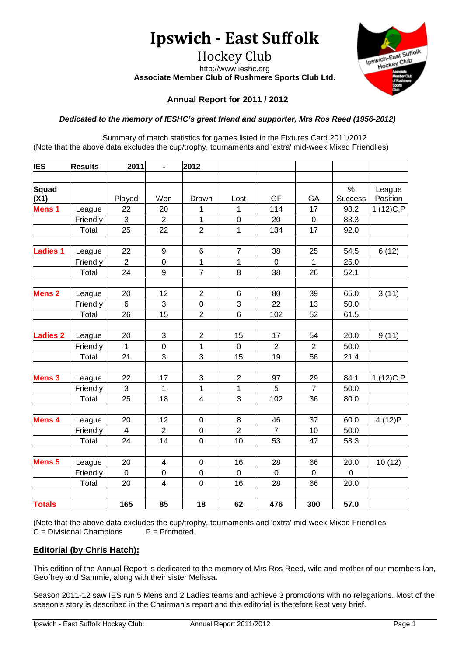# **Ipswich - East Suffolk**

Hockey Club http://www.ieshc.org **Associate Member Club of Rushmere Sports Club Ltd.**



# **Annual Report for 2011 / 2012**

## *Dedicated to the memory of IESHC's great friend and supporter, Mrs Ros Reed (1956-2012)*

Summary of match statistics for games listed in the Fixtures Card 2011/2012 (Note that the above data excludes the cup/trophy, tournaments and 'extra' mid-week Mixed Friendlies)

| <b>IES</b>           | <b>Results</b> | 2011           | $\blacksquare$          | 2012                    |                  |                  |                  |                        |                    |
|----------------------|----------------|----------------|-------------------------|-------------------------|------------------|------------------|------------------|------------------------|--------------------|
|                      |                |                |                         |                         |                  |                  |                  |                        |                    |
| <b>Squad</b><br>(X1) |                | Played         | Won                     | Drawn                   | Lost             | GF               | GA               | $\%$<br><b>Success</b> | League<br>Position |
| Mens <sub>1</sub>    | League         | 22             | 20                      | 1                       | 1                | 114              | 17               | 93.2                   | 1(12)C, P          |
|                      | Friendly       | 3              | $\overline{2}$          | 1                       | $\boldsymbol{0}$ | 20               | $\mathbf 0$      | 83.3                   |                    |
|                      | Total          | 25             | 22                      | $\overline{c}$          | $\overline{1}$   | 134              | 17               | 92.0                   |                    |
|                      |                |                |                         |                         |                  |                  |                  |                        |                    |
| <b>Ladies 1</b>      | League         | 22             | 9                       | $\,6$                   | $\overline{7}$   | 38               | 25               | 54.5                   | 6(12)              |
|                      | Friendly       | $\overline{2}$ | $\mathbf 0$             | 1                       | 1                | $\mathbf 0$      | 1                | 25.0                   |                    |
|                      | Total          | 24             | 9                       | $\overline{7}$          | 8                | 38               | 26               | 52.1                   |                    |
|                      |                |                |                         |                         |                  |                  |                  |                        |                    |
| <b>Mens 2</b>        | League         | 20             | 12                      | $\overline{2}$          | 6                | 80               | 39               | 65.0                   | 3(11)              |
|                      | Friendly       | 6              | 3                       | $\mathbf 0$             | 3                | 22               | 13               | 50.0                   |                    |
|                      | Total          | 26             | 15                      | $\overline{2}$          | $\,6$            | 102              | 52               | 61.5                   |                    |
|                      |                |                |                         |                         |                  |                  |                  |                        |                    |
| <b>Ladies 2</b>      | League         | 20             | 3                       | $\overline{2}$          | 15               | 17               | 54               | 20.0                   | 9(11)              |
|                      | Friendly       | 1              | $\mathbf 0$             | $\mathbf 1$             | $\mathbf 0$      | $\boldsymbol{2}$ | $\boldsymbol{2}$ | 50.0                   |                    |
|                      | Total          | 21             | $\overline{3}$          | 3                       | 15               | 19               | 56               | 21.4                   |                    |
| <b>Mens 3</b>        | League         | 22             | 17                      | 3                       | $\overline{2}$   | 97               | 29               | 84.1                   | 1 (12) C, P        |
|                      | Friendly       | 3              | $\mathbf 1$             | 1                       | 1                | 5                | $\overline{7}$   | 50.0                   |                    |
|                      | Total          | 25             | 18                      | $\overline{\mathbf{4}}$ | 3                | 102              | 36               | 80.0                   |                    |
|                      |                |                |                         |                         |                  |                  |                  |                        |                    |
| Mens 4               | League         | 20             | 12                      | $\boldsymbol{0}$        | 8                | 46               | 37               | 60.0                   | 4 (12)P            |
|                      | Friendly       | 4              | $\overline{2}$          | $\mathbf 0$             | $\overline{2}$   | $\overline{7}$   | 10               | 50.0                   |                    |
|                      | Total          | 24             | 14                      | $\boldsymbol{0}$        | 10               | 53               | 47               | 58.3                   |                    |
|                      |                |                |                         |                         |                  |                  |                  |                        |                    |
| Mens <sub>5</sub>    | League         | 20             | 4                       | $\mathbf 0$             | 16               | 28               | 66               | 20.0                   | 10(12)             |
|                      | Friendly       | $\mathbf 0$    | $\mathsf 0$             | $\mathbf 0$             | $\overline{0}$   | $\mathbf 0$      | $\mathbf 0$      | $\overline{0}$         |                    |
|                      | Total          | 20             | $\overline{\mathbf{4}}$ | 0                       | 16               | 28               | 66               | 20.0                   |                    |
|                      |                |                |                         |                         |                  |                  |                  |                        |                    |
| <b>Totals</b>        |                | 165            | 85                      | 18                      | 62               | 476              | 300              | 57.0                   |                    |

(Note that the above data excludes the cup/trophy, tournaments and 'extra' mid-week Mixed Friendlies  $C = Divisional$  Champions  $P = Promoted$ .  $C = Divisional$  Champions

# **Editorial (by Chris Hatch):**

This edition of the Annual Report is dedicated to the memory of Mrs Ros Reed, wife and mother of our members Ian, Geoffrey and Sammie, along with their sister Melissa.

Season 2011-12 saw IES run 5 Mens and 2 Ladies teams and achieve 3 promotions with no relegations. Most of the season's story is described in the Chairman's report and this editorial is therefore kept very brief.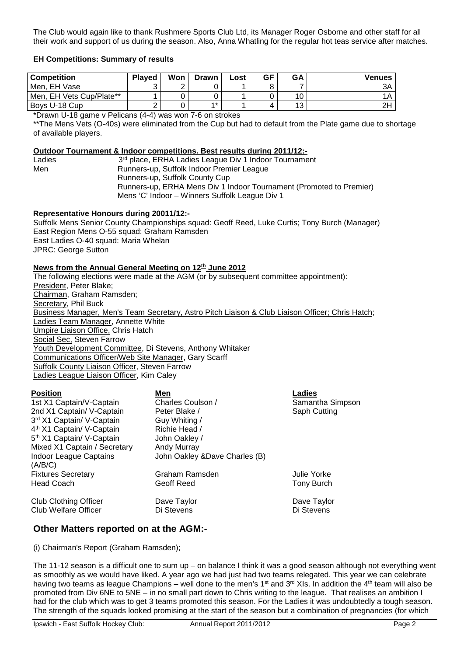The Club would again like to thank Rushmere Sports Club Ltd, its Manager Roger Osborne and other staff for all their work and support of us during the season. Also, Anna Whatling for the regular hot teas service after matches.

#### **EH Competitions: Summary of results**

| <b>Competition</b>       | <b>Plaved</b> | Won | <b>Drawn</b> | Lost | GF | <b>GA</b> | Venues         |
|--------------------------|---------------|-----|--------------|------|----|-----------|----------------|
| Men, EH Vase             |               |     |              |      |    |           |                |
| Men, EH Vets Cup/Plate** |               |     |              |      |    |           |                |
| Boys U-18 Cup            |               |     | $4 *$        |      |    | دا        | 2 <sub>F</sub> |

\*Drawn U-18 game v Pelicans (4-4) was won 7-6 on strokes

\*\*The Mens Vets (O-40s) were eliminated from the Cup but had to default from the Plate game due to shortage of available players.

#### **Outdoor Tournament & Indoor competitions. Best results during 2011/12:-**

Ladies 3<sup>rd</sup> place, ERHA Ladies League Div 1 Indoor Tournament Men Runners-up, Suffolk Indoor Premier League Runners-up, Suffolk County Cup Runners-up, ERHA Mens Div 1 Indoor Tournament (Promoted to Premier) Mens 'C' Indoor – Winners Suffolk League Div 1

#### **Representative Honours during 20011/12:-**

Suffolk Mens Senior County Championships squad: Geoff Reed, Luke Curtis; Tony Burch (Manager) East Region Mens O-55 squad: Graham Ramsden East Ladies O-40 squad: Maria Whelan JPRC: George Sutton

## **News from the Annual General Meeting on 12th June 2012**

The following elections were made at the AGM (or by subsequent committee appointment): President, Peter Blake; Chairman, Graham Ramsden; Secretary, Phil Buck Business Manager, Men's Team Secretary, Astro Pitch Liaison & Club Liaison Officer; Chris Hatch; Ladies Team Manager, Annette White Umpire Liaison Office, Chris Hatch Social Sec. Steven Farrow Youth Development Committee, Di Stevens, Anthony Whitaker Communications Officer/Web Site Manager, Gary Scarff Suffolk County Liaison Officer, Steven Farrow Ladies League Liaison Officer, Kim Caley

| Position |
|----------|
|----------|

| <b>Position</b>                       | Men                            | Ladies           |
|---------------------------------------|--------------------------------|------------------|
| 1st X1 Captain/V-Captain              | Charles Coulson /              | Samantha Simpson |
| 2nd X1 Captain/ V-Captain             | Peter Blake /                  | Saph Cutting     |
| 3rd X1 Captain/ V-Captain             | Guy Whiting /                  |                  |
| 4 <sup>th</sup> X1 Captain/ V-Captain | Richie Head /                  |                  |
| 5 <sup>th</sup> X1 Captain/ V-Captain | John Oakley /                  |                  |
| Mixed X1 Captain / Secretary          | Andy Murray                    |                  |
| <b>Indoor League Captains</b>         | John Oakley & Dave Charles (B) |                  |
| (A/B/C)                               |                                |                  |
| <b>Fixtures Secretary</b>             | Graham Ramsden                 | Julie Yorke      |
| <b>Head Coach</b>                     | Geoff Reed                     | Tony Burch       |
| <b>Club Clothing Officer</b>          | Dave Taylor                    | Dave Taylor      |
| Club Welfare Officer                  | Di Stevens                     | Di Stevens       |

## **Other Matters reported on at the AGM:-**

(i) Chairman's Report (Graham Ramsden);

The 11-12 season is a difficult one to sum up – on balance I think it was a good season although not everything went as smoothly as we would have liked. A year ago we had just had two teams relegated. This year we can celebrate having two teams as league Champions – well done to the men's 1<sup>st</sup> and 3<sup>rd</sup> XIs. In addition the 4<sup>th</sup> team will also be promoted from Div 6NE to 5NE – in no small part down to Chris writing to the league. That realises an ambition I had for the club which was to get 3 teams promoted this season. For the Ladies it was undoubtedly a tough season. The strength of the squads looked promising at the start of the season but a combination of pregnancies (for which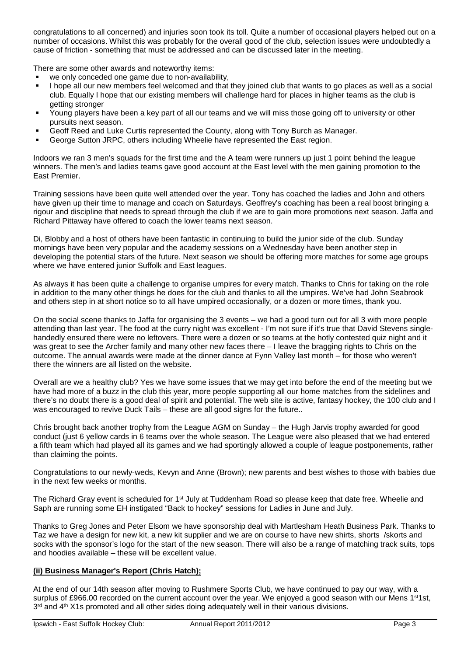congratulations to all concerned) and injuries soon took its toll. Quite a number of occasional players helped out on a number of occasions. Whilst this was probably for the overall good of the club, selection issues were undoubtedly a cause of friction - something that must be addressed and can be discussed later in the meeting.

There are some other awards and noteworthy items:

- we only conceded one game due to non-availability,
- I hope all our new members feel welcomed and that they joined club that wants to go places as well as a social club. Equally I hope that our existing members will challenge hard for places in higher teams as the club is getting stronger
- Young players have been a key part of all our teams and we will miss those going off to university or other pursuits next season.
- Geoff Reed and Luke Curtis represented the County, along with Tony Burch as Manager.
- George Sutton JRPC, others including Wheelie have represented the East region.

Indoors we ran 3 men's squads for the first time and the A team were runners up just 1 point behind the league winners. The men's and ladies teams gave good account at the East level with the men gaining promotion to the East Premier.

Training sessions have been quite well attended over the year. Tony has coached the ladies and John and others have given up their time to manage and coach on Saturdays. Geoffrey's coaching has been a real boost bringing a rigour and discipline that needs to spread through the club if we are to gain more promotions next season. Jaffa and Richard Pittaway have offered to coach the lower teams next season.

Di, Blobby and a host of others have been fantastic in continuing to build the junior side of the club. Sunday mornings have been very popular and the academy sessions on a Wednesday have been another step in developing the potential stars of the future. Next season we should be offering more matches for some age groups where we have entered junior Suffolk and East leagues.

As always it has been quite a challenge to organise umpires for every match. Thanks to Chris for taking on the role in addition to the many other things he does for the club and thanks to all the umpires. We've had John Seabrook and others step in at short notice so to all have umpired occasionally, or a dozen or more times, thank you.

On the social scene thanks to Jaffa for organising the 3 events – we had a good turn out for all 3 with more people attending than last year. The food at the curry night was excellent - I'm not sure if it's true that David Stevens singlehandedly ensured there were no leftovers. There were a dozen or so teams at the hotly contested quiz night and it was great to see the Archer family and many other new faces there – I leave the bragging rights to Chris on the outcome. The annual awards were made at the dinner dance at Fynn Valley last month – for those who weren't there the winners are all listed on the website.

Overall are we a healthy club? Yes we have some issues that we may get into before the end of the meeting but we have had more of a buzz in the club this year, more people supporting all our home matches from the sidelines and there's no doubt there is a good deal of spirit and potential. The web site is active, fantasy hockey, the 100 club and I was encouraged to revive Duck Tails – these are all good signs for the future..

Chris brought back another trophy from the League AGM on Sunday – the Hugh Jarvis trophy awarded for good conduct (just 6 yellow cards in 6 teams over the whole season. The League were also pleased that we had entered a fifth team which had played all its games and we had sportingly allowed a couple of league postponements, rather than claiming the points.

Congratulations to our newly-weds, Kevyn and Anne (Brown); new parents and best wishes to those with babies due in the next few weeks or months.

The Richard Gray event is scheduled for 1<sup>st</sup> July at Tuddenham Road so please keep that date free. Wheelie and Saph are running some EH instigated "Back to hockey" sessions for Ladies in June and July.

Thanks to Greg Jones and Peter Elsom we have sponsorship deal with Martlesham Heath Business Park. Thanks to Taz we have a design for new kit, a new kit supplier and we are on course to have new shirts, shorts /skorts and socks with the sponsor's logo for the start of the new season. There will also be a range of matching track suits, tops and hoodies available – these will be excellent value.

## **(ii) Business Manager's Report (Chris Hatch);**

At the end of our 14th season after moving to Rushmere Sports Club, we have continued to pay our way, with a surplus of £966.00 recorded on the current account over the year. We enjoyed a good season with our Mens 1<sup>st</sup>1st, 3<sup>rd</sup> and 4<sup>th</sup> X1s promoted and all other sides doing adequately well in their various divisions.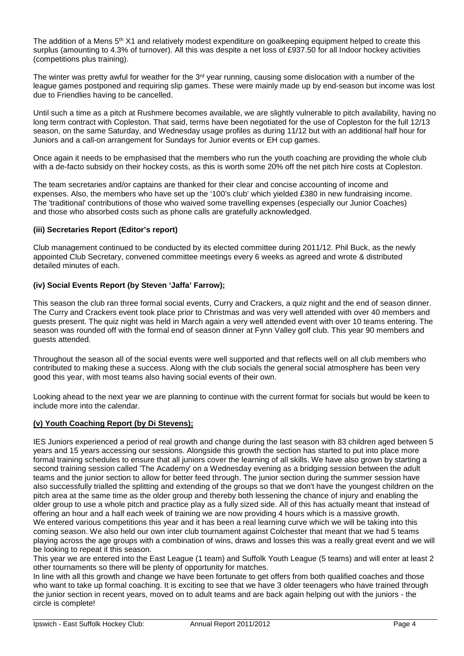The addition of a Mens  $5<sup>th</sup> X1$  and relatively modest expenditure on goalkeeping equipment helped to create this surplus (amounting to 4.3% of turnover). All this was despite a net loss of £937.50 for all Indoor hockey activities (competitions plus training).

The winter was pretty awful for weather for the  $3<sup>rd</sup>$  year running, causing some dislocation with a number of the league games postponed and requiring slip games. These were mainly made up by end-season but income was lost due to Friendlies having to be cancelled.

Until such a time as a pitch at Rushmere becomes available, we are slightly vulnerable to pitch availability, having no long term contract with Copleston. That said, terms have been negotiated for the use of Copleston for the full 12/13 season, on the same Saturday, and Wednesday usage profiles as during 11/12 but with an additional half hour for Juniors and a call-on arrangement for Sundays for Junior events or EH cup games.

Once again it needs to be emphasised that the members who run the youth coaching are providing the whole club with a de-facto subsidy on their hockey costs, as this is worth some 20% off the net pitch hire costs at Copleston.

The team secretaries and/or captains are thanked for their clear and concise accounting of income and expenses. Also, the members who have set up the '100's club' which yielded £380 in new fundraising income. The 'traditional' contributions of those who waived some travelling expenses (especially our Junior Coaches) and those who absorbed costs such as phone calls are gratefully acknowledged.

## **(iii) Secretaries Report (Editor's report)**

Club management continued to be conducted by its elected committee during 2011/12. Phil Buck, as the newly appointed Club Secretary, convened committee meetings every 6 weeks as agreed and wrote & distributed detailed minutes of each.

## **(iv) Social Events Report (by Steven 'Jaffa' Farrow);**

This season the club ran three formal social events, Curry and Crackers, a quiz night and the end of season dinner. The Curry and Crackers event took place prior to Christmas and was very well attended with over 40 members and guests present. The quiz night was held in March again a very well attended event with over 10 teams entering. The season was rounded off with the formal end of season dinner at Fynn Valley golf club. This year 90 members and guests attended.

Throughout the season all of the social events were well supported and that reflects well on all club members who contributed to making these a success. Along with the club socials the general social atmosphere has been very good this year, with most teams also having social events of their own.

Looking ahead to the next year we are planning to continue with the current format for socials but would be keen to include more into the calendar.

## **(v) Youth Coaching Report (by Di Stevens);**

IES Juniors experienced a period of real growth and change during the last season with 83 children aged between 5 years and 15 years accessing our sessions. Alongside this growth the section has started to put into place more formal training schedules to ensure that all juniors cover the learning of all skills. We have also grown by starting a second training session called 'The Academy' on a Wednesday evening as a bridging session between the adult teams and the junior section to allow for better feed through. The junior section during the summer session have also successfully trialled the splitting and extending of the groups so that we don't have the youngest children on the pitch area at the same time as the older group and thereby both lessening the chance of injury and enabling the older group to use a whole pitch and practice play as a fully sized side. All of this has actually meant that instead of offering an hour and a half each week of training we are now providing 4 hours which is a massive growth. We entered various competitions this year and it has been a real learning curve which we will be taking into this coming season. We also held our own inter club tournament against Colchester that meant that we had 5 teams playing across the age groups with a combination of wins, draws and losses this was a really great event and we will be looking to repeat it this season.

This year we are entered into the East League (1 team) and Suffolk Youth League (5 teams) and will enter at least 2 other tournaments so there will be plenty of opportunity for matches.

In line with all this growth and change we have been fortunate to get offers from both qualified coaches and those who want to take up formal coaching. It is exciting to see that we have 3 older teenagers who have trained through the junior section in recent years, moved on to adult teams and are back again helping out with the juniors - the circle is complete!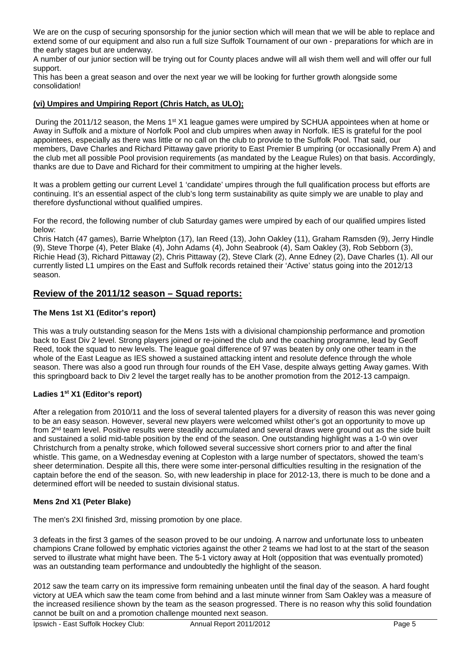We are on the cusp of securing sponsorship for the junior section which will mean that we will be able to replace and extend some of our equipment and also run a full size Suffolk Tournament of our own - preparations for which are in the early stages but are underway.

A number of our junior section will be trying out for County places andwe will all wish them well and will offer our full support.

This has been a great season and over the next year we will be looking for further growth alongside some consolidation!

## **(vi) Umpires and Umpiring Report (Chris Hatch, as ULO);**

During the 2011/12 season, the Mens  $1<sup>st</sup> X1$  league games were umpired by SCHUA appointees when at home or Away in Suffolk and a mixture of Norfolk Pool and club umpires when away in Norfolk. IES is grateful for the pool appointees, especially as there was little or no call on the club to provide to the Suffolk Pool. That said, our members, Dave Charles and Richard Pittaway gave priority to East Premier B umpiring (or occasionally Prem A) and the club met all possible Pool provision requirements (as mandated by the League Rules) on that basis. Accordingly, thanks are due to Dave and Richard for their commitment to umpiring at the higher levels.

It was a problem getting our current Level 1 'candidate' umpires through the full qualification process but efforts are continuing. It's an essential aspect of the club's long term sustainability as quite simply we are unable to play and therefore dysfunctional without qualified umpires.

For the record, the following number of club Saturday games were umpired by each of our qualified umpires listed below:

Chris Hatch (47 games), Barrie Whelpton (17), Ian Reed (13), John Oakley (11), Graham Ramsden (9), Jerry Hindle (9), Steve Thorpe (4), Peter Blake (4), John Adams (4), John Seabrook (4), Sam Oakley (3), Rob Sebborn (3), Richie Head (3), Richard Pittaway (2), Chris Pittaway (2), Steve Clark (2), Anne Edney (2), Dave Charles (1). All our currently listed L1 umpires on the East and Suffolk records retained their 'Active' status going into the 2012/13 season.

# **Review of the 2011/12 season – Squad reports:**

## **The Mens 1st X1 (Editor's report)**

This was a truly outstanding season for the Mens 1sts with a divisional championship performance and promotion back to East Div 2 level. Strong players joined or re-joined the club and the coaching programme, lead by Geoff Reed, took the squad to new levels. The league goal difference of 97 was beaten by only one other team in the whole of the East League as IES showed a sustained attacking intent and resolute defence through the whole season. There was also a good run through four rounds of the EH Vase, despite always getting Away games. With this springboard back to Div 2 level the target really has to be another promotion from the 2012-13 campaign.

## **Ladies 1st X1 (Editor's report)**

After a relegation from 2010/11 and the loss of several talented players for a diversity of reason this was never going to be an easy season. However, several new players were welcomed whilst other's got an opportunity to move up from 2nd team level. Positive results were steadily accumulated and several draws were ground out as the side built and sustained a solid mid-table position by the end of the season. One outstanding highlight was a 1-0 win over Christchurch from a penalty stroke, which followed several successive short corners prior to and after the final whistle. This game, on a Wednesday evening at Copleston with a large number of spectators, showed the team's sheer determination. Despite all this, there were some inter-personal difficulties resulting in the resignation of the captain before the end of the season. So, with new leadership in place for 2012-13, there is much to be done and a determined effort will be needed to sustain divisional status.

## **Mens 2nd X1 (Peter Blake)**

The men's 2XI finished 3rd, missing promotion by one place.

3 defeats in the first 3 games of the season proved to be our undoing. A narrow and unfortunate loss to unbeaten champions Crane followed by emphatic victories against the other 2 teams we had lost to at the start of the season served to illustrate what might have been. The 5-1 victory away at Holt (opposition that was eventually promoted) was an outstanding team performance and undoubtedly the highlight of the season.

2012 saw the team carry on its impressive form remaining unbeaten until the final day of the season. A hard fought victory at UEA which saw the team come from behind and a last minute winner from Sam Oakley was a measure of the increased resilience shown by the team as the season progressed. There is no reason why this solid foundation cannot be built on and a promotion challenge mounted next season.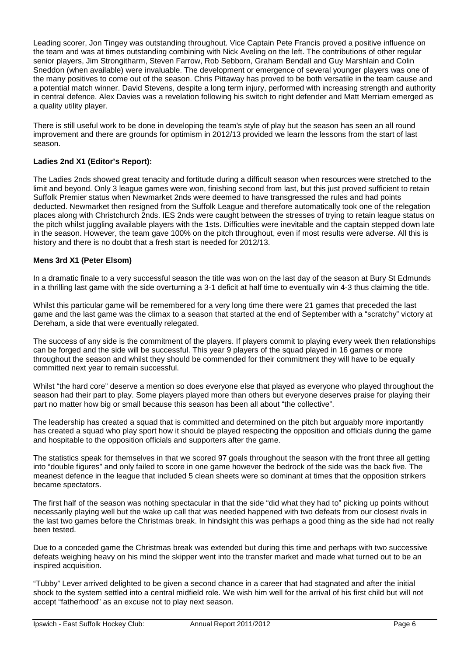Leading scorer, Jon Tingey was outstanding throughout. Vice Captain Pete Francis proved a positive influence on the team and was at times outstanding combining with Nick Aveling on the left. The contributions of other regular senior players, Jim Strongitharm, Steven Farrow, Rob Sebborn, Graham Bendall and Guy Marshlain and Colin Sneddon (when available) were invaluable. The development or emergence of several younger players was one of the many positives to come out of the season. Chris Pittaway has proved to be both versatile in the team cause and a potential match winner. David Stevens, despite a long term injury, performed with increasing strength and authority in central defence. Alex Davies was a revelation following his switch to right defender and Matt Merriam emerged as a quality utility player.

There is still useful work to be done in developing the team's style of play but the season has seen an all round improvement and there are grounds for optimism in 2012/13 provided we learn the lessons from the start of last season.

## **Ladies 2nd X1 (Editor's Report):**

The Ladies 2nds showed great tenacity and fortitude during a difficult season when resources were stretched to the limit and beyond. Only 3 league games were won, finishing second from last, but this just proved sufficient to retain Suffolk Premier status when Newmarket 2nds were deemed to have transgressed the rules and had points deducted. Newmarket then resigned from the Suffolk League and therefore automatically took one of the relegation places along with Christchurch 2nds. IES 2nds were caught between the stresses of trying to retain league status on the pitch whilst juggling available players with the 1sts. Difficulties were inevitable and the captain stepped down late in the season. However, the team gave 100% on the pitch throughout, even if most results were adverse. All this is history and there is no doubt that a fresh start is needed for 2012/13.

## **Mens 3rd X1 (Peter Elsom)**

In a dramatic finale to a very successful season the title was won on the last day of the season at Bury St Edmunds in a thrilling last game with the side overturning a 3-1 deficit at half time to eventually win 4-3 thus claiming the title.

Whilst this particular game will be remembered for a very long time there were 21 games that preceded the last game and the last game was the climax to a season that started at the end of September with a "scratchy" victory at Dereham, a side that were eventually relegated.

The success of any side is the commitment of the players. If players commit to playing every week then relationships can be forged and the side will be successful. This year 9 players of the squad played in 16 games or more throughout the season and whilst they should be commended for their commitment they will have to be equally committed next year to remain successful.

Whilst "the hard core" deserve a mention so does everyone else that played as everyone who played throughout the season had their part to play. Some players played more than others but everyone deserves praise for playing their part no matter how big or small because this season has been all about "the collective".

The leadership has created a squad that is committed and determined on the pitch but arguably more importantly has created a squad who play sport how it should be played respecting the opposition and officials during the game and hospitable to the opposition officials and supporters after the game.

The statistics speak for themselves in that we scored 97 goals throughout the season with the front three all getting into "double figures" and only failed to score in one game however the bedrock of the side was the back five. The meanest defence in the league that included 5 clean sheets were so dominant at times that the opposition strikers became spectators.

The first half of the season was nothing spectacular in that the side "did what they had to" picking up points without necessarily playing well but the wake up call that was needed happened with two defeats from our closest rivals in the last two games before the Christmas break. In hindsight this was perhaps a good thing as the side had not really been tested.

Due to a conceded game the Christmas break was extended but during this time and perhaps with two successive defeats weighing heavy on his mind the skipper went into the transfer market and made what turned out to be an inspired acquisition.

"Tubby" Lever arrived delighted to be given a second chance in a career that had stagnated and after the initial shock to the system settled into a central midfield role. We wish him well for the arrival of his first child but will not accept "fatherhood" as an excuse not to play next season.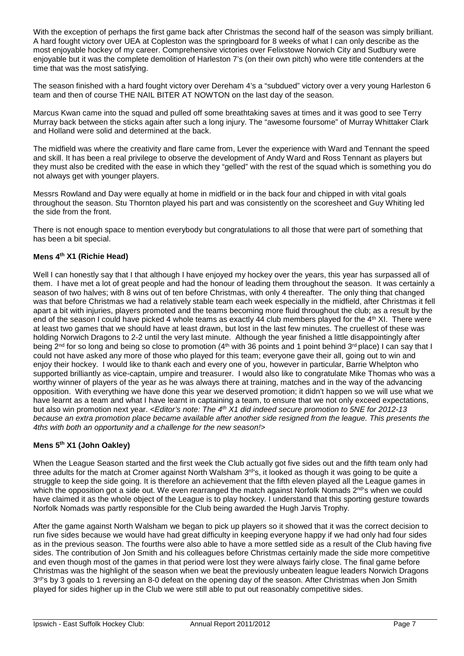With the exception of perhaps the first game back after Christmas the second half of the season was simply brilliant. A hard fought victory over UEA at Copleston was the springboard for 8 weeks of what I can only describe as the most enjoyable hockey of my career. Comprehensive victories over Felixstowe Norwich City and Sudbury were enjoyable but it was the complete demolition of Harleston 7's (on their own pitch) who were title contenders at the time that was the most satisfying.

The season finished with a hard fought victory over Dereham 4's a "subdued" victory over a very young Harleston 6 team and then of course THE NAIL BITER AT NOWTON on the last day of the season.

Marcus Kwan came into the squad and pulled off some breathtaking saves at times and it was good to see Terry Murray back between the sticks again after such a long injury. The "awesome foursome" of Murray Whittaker Clark and Holland were solid and determined at the back.

The midfield was where the creativity and flare came from, Lever the experience with Ward and Tennant the speed and skill. It has been a real privilege to observe the development of Andy Ward and Ross Tennant as players but they must also be credited with the ease in which they "gelled" with the rest of the squad which is something you do not always get with younger players.

Messrs Rowland and Day were equally at home in midfield or in the back four and chipped in with vital goals throughout the season. Stu Thornton played his part and was consistently on the scoresheet and Guy Whiting led the side from the front.

There is not enough space to mention everybody but congratulations to all those that were part of something that has been a bit special.

## **Mens 4th X1 (Richie Head)**

Well I can honestly say that I that although I have enjoyed my hockey over the years, this year has surpassed all of them. I have met a lot of great people and had the honour of leading them throughout the season. It was certainly a season of two halves; with 8 wins out of ten before Christmas, with only 4 thereafter. The only thing that changed was that before Christmas we had a relatively stable team each week especially in the midfield, after Christmas it fell apart a bit with injuries, players promoted and the teams becoming more fluid throughout the club; as a result by the end of the season I could have picked 4 whole teams as exactly 44 club members played for the 4<sup>th</sup> XI. There were at least two games that we should have at least drawn, but lost in the last few minutes. The cruellest of these was holding Norwich Dragons to 2-2 until the very last minute. Although the year finished a little disappointingly after being 2<sup>nd</sup> for so long and being so close to promotion (4<sup>th</sup> with 36 points and 1 point behind 3<sup>rd</sup> place) I can say that I could not have asked any more of those who played for this team; everyone gave their all, going out to win and enjoy their hockey. I would like to thank each and every one of you, however in particular, Barrie Whelpton who supported brilliantly as vice-captain, umpire and treasurer. I would also like to congratulate Mike Thomas who was a worthy winner of players of the year as he was always there at training, matches and in the way of the advancing opposition. With everything we have done this year we deserved promotion; it didn't happen so we will use what we have learnt as a team and what I have learnt in captaining a team, to ensure that we not only exceed expectations, but also win promotion next year. *<Editor's note: The 4th X1 did indeed secure promotion to 5NE for 2012-13 because an extra promotion place became available after another side resigned from the league. This presents the 4ths with both an opportunity and a challenge for the new season!>*

## **Mens 5th X1 (John Oakley)**

When the League Season started and the first week the Club actually got five sides out and the fifth team only had three adults for the match at Cromer against North Walsham 3<sup>rd'</sup>s, it looked as though it was going to be quite a struggle to keep the side going. It is therefore an achievement that the fifth eleven played all the League games in which the opposition got a side out. We even rearranged the match against Norfolk Nomads  $2^{nd}$ 's when we could have claimed it as the whole object of the League is to play hockey. I understand that this sporting gesture towards Norfolk Nomads was partly responsible for the Club being awarded the Hugh Jarvis Trophy.

After the game against North Walsham we began to pick up players so it showed that it was the correct decision to run five sides because we would have had great difficulty in keeping everyone happy if we had only had four sides as in the previous season. The fourths were also able to have a more settled side as a result of the Club having five sides. The contribution of Jon Smith and his colleagues before Christmas certainly made the side more competitive and even though most of the games in that period were lost they were always fairly close. The final game before Christmas was the highlight of the season when we beat the previously unbeaten league leaders Norwich Dragons 3<sup>rd'</sup>s by 3 goals to 1 reversing an 8-0 defeat on the opening day of the season. After Christmas when Jon Smith played for sides higher up in the Club we were still able to put out reasonably competitive sides.